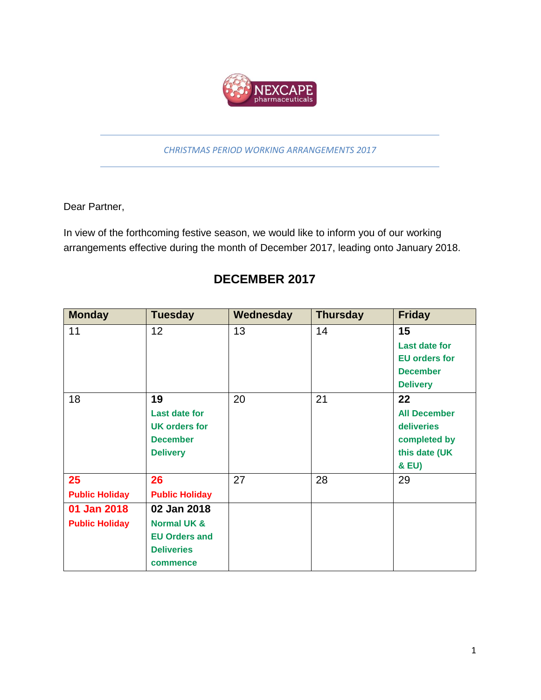

*CHRISTMAS PERIOD WORKING ARRANGEMENTS 2017*

Dear Partner,

In view of the forthcoming festive season, we would like to inform you of our working arrangements effective during the month of December 2017, leading onto January 2018.

## **DECEMBER 2017**

| <b>Monday</b>         | <b>Tuesday</b>         | Wednesday | <b>Thursday</b> | <b>Friday</b>        |
|-----------------------|------------------------|-----------|-----------------|----------------------|
| 11                    | 12                     | 13        | 14              | 15                   |
|                       |                        |           |                 | <b>Last date for</b> |
|                       |                        |           |                 | <b>EU orders for</b> |
|                       |                        |           |                 | <b>December</b>      |
|                       |                        |           |                 | <b>Delivery</b>      |
| 18                    | 19                     | 20        | 21              | 22                   |
|                       | <b>Last date for</b>   |           |                 | <b>All December</b>  |
|                       | <b>UK orders for</b>   |           |                 | deliveries           |
|                       | <b>December</b>        |           |                 | completed by         |
|                       | <b>Delivery</b>        |           |                 | this date (UK        |
|                       |                        |           |                 | & EU)                |
| 25                    | 26                     | 27        | 28              | 29                   |
| <b>Public Holiday</b> | <b>Public Holiday</b>  |           |                 |                      |
| 01 Jan 2018           | 02 Jan 2018            |           |                 |                      |
| <b>Public Holiday</b> | <b>Normal UK &amp;</b> |           |                 |                      |
|                       | <b>EU Orders and</b>   |           |                 |                      |
|                       | <b>Deliveries</b>      |           |                 |                      |
|                       | commence               |           |                 |                      |